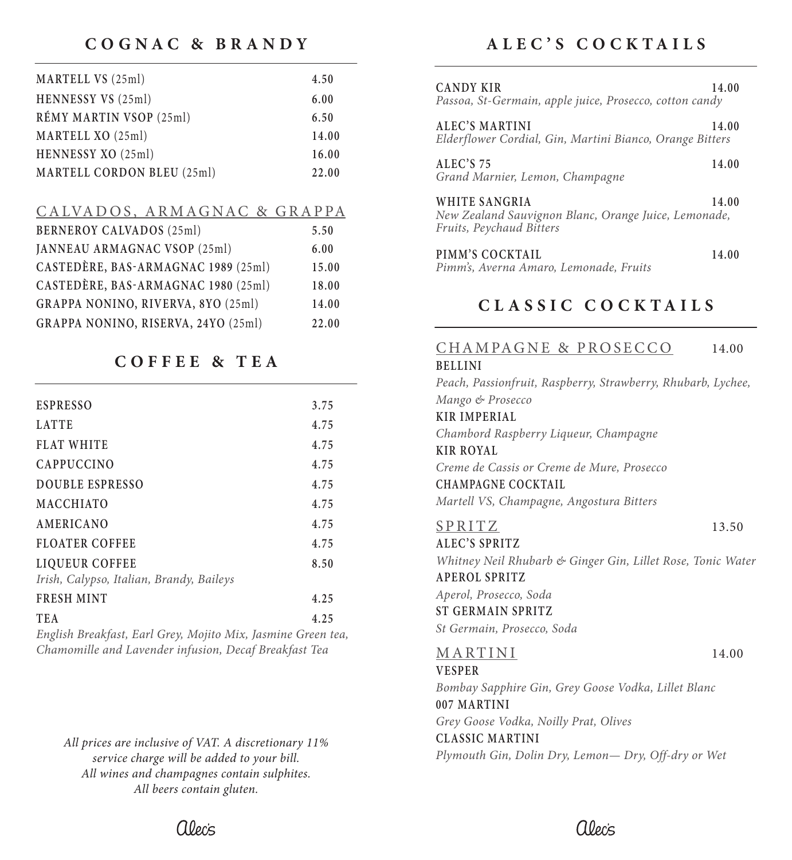# **COGNAC & BRANDY**

| MARTELL VS (25ml)          | 4.50  |
|----------------------------|-------|
| HENNESSY VS (25ml)         | 6.00  |
| RÉMY MARTIN VSOP (25ml)    | 6.50  |
| MARTELL XO (25ml)          | 14.00 |
| HENNESSY XO (25ml)         | 16.00 |
| MARTELL CORDON BLEU (25ml) | 22.00 |

#### CALVADOS, ARMAGNAC & GRAPPA

| <b>BERNEROY CALVADOS (25ml)</b>     | 5.50  |
|-------------------------------------|-------|
| JANNEAU ARMAGNAC VSOP (25ml)        | 6.00  |
| CASTEDÈRE, BAS-ARMAGNAC 1989 (25ml) | 15.00 |
| CASTEDÈRE, BAS-ARMAGNAC 1980 (25ml) | 18.00 |
| GRAPPA NONINO, RIVERVA, 8YO (25ml)  | 14.00 |
| GRAPPA NONINO, RISERVA, 24YO (25ml) | 22.00 |

## **COFFEE & TEA**

| <b>ESPRESSO</b>                          | 3.75 |
|------------------------------------------|------|
| <b>LATTE</b>                             | 4.75 |
| <b>FLAT WHITE</b>                        | 4.75 |
| <b>CAPPUCCINO</b>                        | 4.75 |
| DOUBLE ESPRESSO                          | 4.75 |
| <b>MACCHIATO</b>                         | 4.75 |
| AMERICANO                                | 4.75 |
| <b>FLOATER COFFEE</b>                    | 4.75 |
| LIQUEUR COFFEE                           | 8.50 |
| Irish, Calypso, Italian, Brandy, Baileys |      |
| <b>FRESH MINT</b>                        | 4.25 |
| <b>TEA</b>                               | 4.25 |

*English Breakfast, Earl Grey, Mojito Mix, Jasmine Green tea, Chamomille and Lavender infusion, Decaf Breakfast Tea*

*All prices are inclusive of VAT. A discretionary 11% service charge will be added to your bill. All wines and champagnes contain sulphites. All beers contain gluten.*

# **ALEC'S COCKTAILS**

| CANDY KIR<br>Passoa, St-Germain, apple juice, Prosecco, cotton candy                              | 14.00 |
|---------------------------------------------------------------------------------------------------|-------|
| ALEC'S MARTINI<br>Elderflower Cordial, Gin, Martini Bianco, Orange Bitters                        | 14.00 |
| ALEC'S 75<br>Grand Marnier, Lemon, Champagne                                                      | 14.00 |
| WHITE SANGRIA<br>New Zealand Sauvignon Blanc, Orange Juice, Lemonade,<br>Fruits, Peychaud Bitters | 14.00 |
| PIMM'S COCKTAIL<br>Pimm's, Averna Amaro, Lemonade, Fruits                                         | 14.00 |

# **CL ASSIC COCKTAILS**

# CHAMPAGNE & PROSECCO 14.00

#### **BELLINI**

*Peach, Passionfruit, Raspberry, Strawberry, Rhubarb, Lychee, Mango & Prosecco* **KIR IMPERIAL** *Chambord Raspberry Liqueur, Champagne* **KIR ROYAL** *Creme de Cassis or Creme de Mure, Prosecco* **CHAMPAGNE CO CKTAIL** *Martell VS, Champagne, Angostura Bitters* SPRITZ 13.50 **ALEC'S SPRITZ** *Whitney Neil Rhubarb & Ginger Gin, Lillet Rose, Tonic Water* **APEROL SPRITZ** *Aperol, Prosecco, Soda* **ST GERMAIN SPRITZ** *St Germain, Prosecco, Soda* MARTINI 14.00 **VESPER** *Bombay Sapphire Gin, Grey Goose Vodka, Lillet Blanc* **007 MARTINI** *Grey Goose Vodka, Noilly Prat, Olives* **CLASSIC MARTINI** *Plymouth Gin, Dolin Dry, Lemon— Dry, Off-dry or Wet*

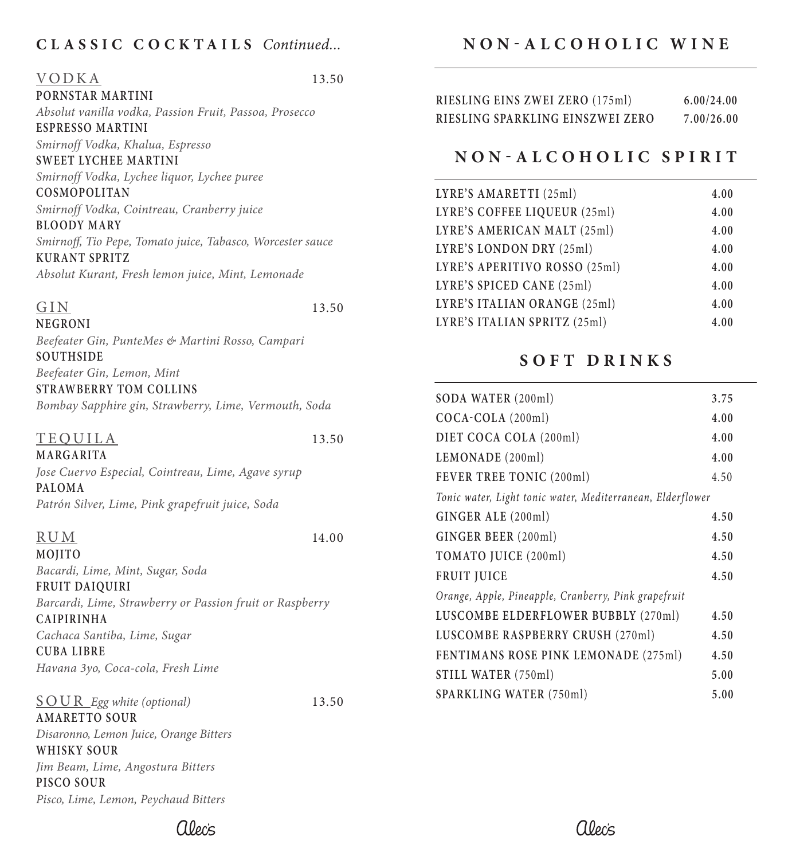## **CL ASSIC COCKTAILS** *Continued...*

| <b>VODKA</b>     | 13.50 |
|------------------|-------|
| PORNSTAR MARTINI |       |

*Absolut vanilla vodka, Passion Fruit, Passoa, Prosecco* **ESPRESSO MARTINI**

*Smirnoff Vodka, Khalua, Espresso*

**SWEET LYCHEE MARTINI** *Smirnoff Vodka, Lychee liquor, Lychee puree*

**COSMOPOLITAN** *Smirnoff Vodka, Cointreau, Cranberry juice*

**BLOODY MARY** *Smirnoff, Tio Pepe, Tomato juice, Tabasco, Worcester sauce* **KURANT SPRITZ**

*Absolut Kurant, Fresh lemon juice, Mint, Lemonade*

#### $\overline{GIN}$  13.50 **NEGRONI**

*Beefeater Gin, PunteMes & Martini Rosso, Campari*  **SOUTHSIDE**

*Beefeater Gin, Lemon, Mint* **STRAWBERRY TOM COLLINS**

*Bombay Sapphire gin, Strawberry, Lime, Vermouth, Soda*

#### TEQUILA 13.50

**MARGARITA** *Jose Cuervo Especial, Cointreau, Lime, Agave syrup* **PALOMA** *Patrón Silver, Lime, Pink grapefruit juice, Soda*

#### RUM 14.00

**MOJITO** *Bacardi, Lime, Mint, Sugar, Soda*

**FRUIT DAIQUIRI** *Barcardi, Lime, Strawberry or Passion fruit or Raspberry*  **CAIPIRINHA** *Cachaca Santiba, Lime, Sugar*

**CUBA LIBRE** *Havana 3yo, Coca-cola, Fresh Lime*

SOUR *Egg white (optional)* 13.50 **AMARETTO SOUR** *Disaronno, Lemon Juice, Orange Bitters* **WHISKY SOUR** *Jim Beam, Lime, Angostura Bitters* **PISCO SOUR** *Pisco, Lime, Lemon, Peychaud Bitters*

# **NON-ALCOHOLIC WINE**

| RIESLING EINS ZWEI ZERO (175ml)  | 6.00/24.00 |
|----------------------------------|------------|
| RIESLING SPARKLING EINSZWEI ZERO | 7.00/26.00 |

# **NON-ALCOHOLIC SPIRIT**

| LYRE'S AMARETTI (25ml)        | 4.00 |
|-------------------------------|------|
| LYRE'S COFFEE LIQUEUR (25ml)  | 4.00 |
| LYRE'S AMERICAN MALT (25ml)   | 4.00 |
| LYRE'S LONDON DRY (25ml)      | 4.00 |
| LYRE'S APERITIVO ROSSO (25ml) | 4.00 |
| LYRE'S SPICED CANE (25ml)     | 4.00 |
| LYRE'S ITALIAN ORANGE (25ml)  | 4.00 |
| LYRE'S ITALIAN SPRITZ (25ml)  | 4.00 |

# **SOFT DRINKS**

| SODA WATER (200ml)                                         | 3.75 |
|------------------------------------------------------------|------|
| $COCA-COLA (200ml)$                                        | 4.00 |
| DIET COCA COLA (200ml)                                     | 4.00 |
| LEMONADE (200ml)                                           | 4.00 |
| FEVER TREE TONIC (200ml)                                   | 4.50 |
| Tonic water, Light tonic water, Mediterranean, Elderflower |      |
| GINGER ALE (200ml)                                         | 4.50 |
| GINGER BEER (200ml)                                        | 4.50 |
| TOMATO JUICE (200ml)                                       | 4.50 |
| <b>FRUIT JUICE</b>                                         | 4.50 |
| Orange, Apple, Pineapple, Cranberry, Pink grapefruit       |      |
| LUSCOMBE ELDERFLOWER BUBBLY (270ml)                        | 4.50 |
| LUSCOMBE RASPBERRY CRUSH (270ml)                           | 4.50 |
| FENTIMANS ROSE PINK LEMONADE (275ml)                       | 4.50 |
| STILL WATER (750ml)                                        | 5.00 |
| <b>SPARKLING WATER (750ml)</b>                             | 5.00 |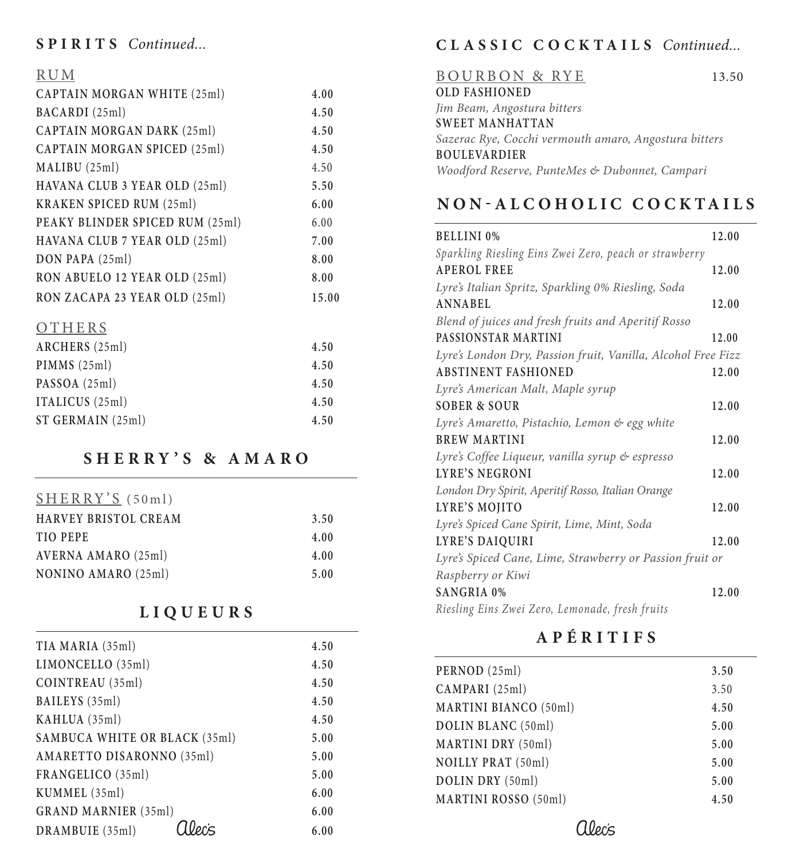# **SPIRITS** *Continued...*

## RUM

| CAPTAIN MORGAN WHITE (25ml)     | 4.00  |
|---------------------------------|-------|
| BACARDI (25ml)                  | 4.50  |
| CAPTAIN MORGAN DARK (25ml)      | 4.50  |
| CAPTAIN MORGAN SPICED (25ml)    | 4.50  |
| MALIBU (25ml)                   | 4.50  |
| HAVANA CLUB 3 YEAR OLD (25ml)   | 5.50  |
| <b>KRAKEN SPICED RUM (25ml)</b> | 6.00  |
| PEAKY BLINDER SPICED RUM (25ml) | 6.00  |
| HAVANA CLUB 7 YEAR OLD (25ml)   | 7.00  |
| $DON$ PAPA $(25ml)$             | 8.00  |
| RON ABUELO 12 YEAR OLD (25ml)   | 8.00  |
| RON ZACAPA 23 YEAR OLD (25ml)   | 15.00 |
| OTHERS                          |       |
| ARCHERS (25ml)                  | 4.50  |
| PIMMS(25ml)                     | 4.50  |
| PASSOA (25ml)                   | 4.50  |
| ITALICUS (25ml)                 | 4.50  |

# **SHERRY'S & AMARO**

**ST GERMAIN** (25ml) **4.50**

| SHERRY'S (50ml)             |      |
|-----------------------------|------|
| <b>HARVEY BRISTOL CREAM</b> | 3.50 |
| <b>TIO PEPE</b>             | 4.00 |
| AVERNA AMARO (25ml)         | 4.00 |
| NONINO AMARO (25ml)         | 5.00 |

# **LIQUEURS**

| TIA MARIA (35ml)              | 4.50 |
|-------------------------------|------|
| LIMONCELLO (35ml)             | 4.50 |
| COINTREAU (35ml)              | 4.50 |
| BAILEYS (35ml)                | 4.50 |
| KAHLUA (35ml)                 | 4.50 |
| SAMBUCA WHITE OR BLACK (35ml) | 5.00 |
| AMARETTO DISARONNO (35ml)     | 5.00 |
| FRANGELICO (35ml)             | 5.00 |
| KUMMEL (35ml)                 | 6.00 |
| <b>GRAND MARNIER (35ml)</b>   | 6.00 |
| DRAMBUIE (35ml)               | 6.00 |

# **CL ASSIC COCKTAILS** *Continued...*

| <b>BOURBON &amp; RYE</b>                              | 13.50 |
|-------------------------------------------------------|-------|
| <b>OLD FASHIONED</b>                                  |       |
| Jim Beam, Angostura bitters                           |       |
| <b>SWEET MANHATTAN</b>                                |       |
| Sazerac Rye, Cocchi vermouth amaro, Angostura bitters |       |
| <b>BOULEVARDIER</b>                                   |       |
| Woodford Reserve, PunteMes & Dubonnet, Campari        |       |
|                                                       |       |

# **NON-ALCOHOLIC COCKTAILS**

| <b>BELLINI 0%</b>                                            | 12.00 |
|--------------------------------------------------------------|-------|
| Sparkling Riesling Eins Zwei Zero, peach or strawberry       |       |
| <b>APEROL FREE</b>                                           | 12.00 |
| Lyre's Italian Spritz, Sparkling 0% Riesling, Soda           |       |
| <b>ANNABEL</b>                                               | 12.00 |
| Blend of juices and fresh fruits and Aperitif Rosso          |       |
| PASSIONSTAR MARTINI                                          | 12.00 |
| Lyre's London Dry, Passion fruit, Vanilla, Alcohol Free Fizz |       |
| <b>ABSTINENT FASHIONED</b>                                   | 12.00 |
| Lyre's American Malt, Maple syrup                            |       |
| <b>SOBER &amp; SOUR</b>                                      | 12.00 |
| Lyre's Amaretto, Pistachio, Lemon & egg white                |       |
| <b>BREW MARTINI</b>                                          | 12.00 |
| Lyre's Coffee Liqueur, vanilla syrup & espresso              |       |
| <b>LYRE'S NEGRONI</b>                                        | 12.00 |
| London Dry Spirit, Aperitif Rosso, Italian Orange            |       |
| LYRE'S MOJITO                                                | 12.00 |
| Lyre's Spiced Cane Spirit, Lime, Mint, Soda                  |       |
| <b>LYRE'S DAIQUIRI</b>                                       | 12.00 |
| Lyre's Spiced Cane, Lime, Strawberry or Passion fruit or     |       |
| Raspberry or Kiwi                                            |       |
| <b>SANGRIA 0%</b>                                            | 12.00 |
| Riesling Eins Zwei Zero, Lemonade, fresh fruits              |       |

# **APÉRITIFS**

| PERNOD (25ml)                | 3.50 |
|------------------------------|------|
| CAMPARI (25ml)               | 3.50 |
| <b>MARTINI BIANCO (50ml)</b> | 4.50 |
| DOLIN BLANC (50ml)           | 5.00 |
| <b>MARTINI DRY (50ml)</b>    | 5.00 |
| <b>NOILLY PRAT (50ml)</b>    | 5.00 |
| DOLIN DRY (50ml)             | 5.00 |
| <b>MARTINI ROSSO (50ml)</b>  | 4.50 |
|                              |      |

alecis